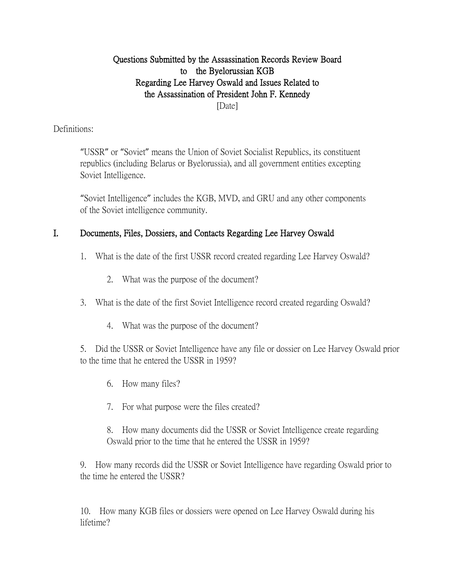# Questions Submitted by the Assassination Records Review Board to the Byelorussian KGB Regarding Lee Harvey Oswald and Issues Related to the Assassination of President John F. Kennedy [Date]

# Definitions:

"USSR" or "Soviet" means the Union of Soviet Socialist Republics, its constituent republics (including Belarus or Byelorussia), and all government entities excepting Soviet Intelligence.

"Soviet Intelligence" includes the KGB, MVD, and GRU and any other components of the Soviet intelligence community.

# I. Documents, Files, Dossiers, and Contacts Regarding Lee Harvey Oswald

- 1. What is the date of the first USSR record created regarding Lee Harvey Oswald?
	- 2. What was the purpose of the document?
- 3. What is the date of the first Soviet Intelligence record created regarding Oswald?
	- 4. What was the purpose of the document?

5. Did the USSR or Soviet Intelligence have any file or dossier on Lee Harvey Oswald prior to the time that he entered the USSR in 1959?

- 6. How many files?
- 7. For what purpose were the files created?

8. How many documents did the USSR or Soviet Intelligence create regarding Oswald prior to the time that he entered the USSR in 1959?

9. How many records did the USSR or Soviet Intelligence have regarding Oswald prior to the time he entered the USSR?

10. How many KGB files or dossiers were opened on Lee Harvey Oswald during his lifetime?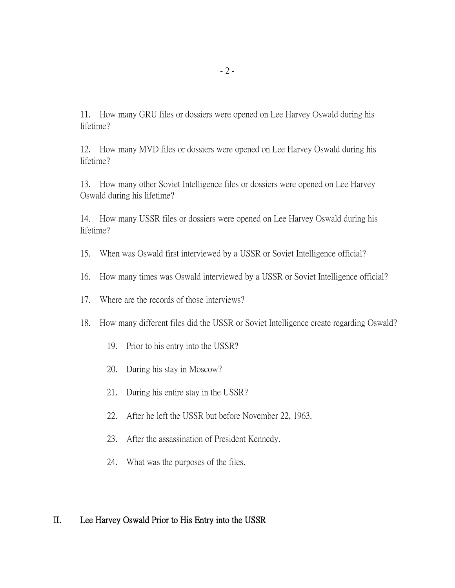11. How many GRU files or dossiers were opened on Lee Harvey Oswald during his lifetime?

12. How many MVD files or dossiers were opened on Lee Harvey Oswald during his lifetime?

13. How many other Soviet Intelligence files or dossiers were opened on Lee Harvey Oswald during his lifetime?

14. How many USSR files or dossiers were opened on Lee Harvey Oswald during his lifetime?

- 15. When was Oswald first interviewed by a USSR or Soviet Intelligence official?
- 16. How many times was Oswald interviewed by a USSR or Soviet Intelligence official?
- 17. Where are the records of those interviews?
- 18. How many different files did the USSR or Soviet Intelligence create regarding Oswald?
	- 19. Prior to his entry into the USSR?
	- 20. During his stay in Moscow?
	- 21. During his entire stay in the USSR?
	- 22. After he left the USSR but before November 22, 1963.
	- 23. After the assassination of President Kennedy.
	- 24. What was the purposes of the files.

### II. Lee Harvey Oswald Prior to His Entry into the USSR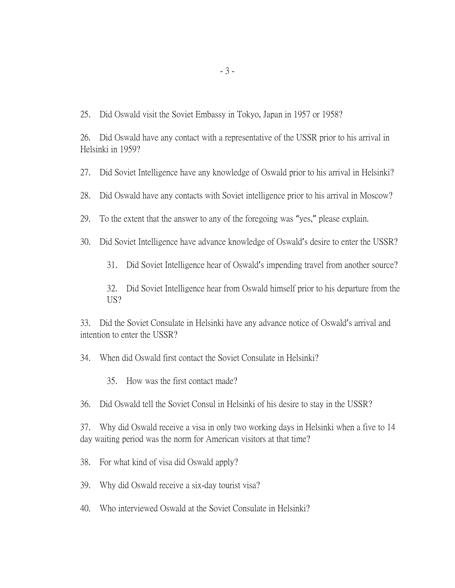25. Did Oswald visit the Soviet Embassy in Tokyo, Japan in 1957 or 1958?

26. Did Oswald have any contact with a representative of the USSR prior to his arrival in Helsinki in 1959?

27. Did Soviet Intelligence have any knowledge of Oswald prior to his arrival in Helsinki?

28. Did Oswald have any contacts with Soviet intelligence prior to his arrival in Moscow?

29. To the extent that the answer to any of the foregoing was "yes," please explain.

30. Did Soviet Intelligence have advance knowledge of Oswald's desire to enter the USSR?

31. Did Soviet Intelligence hear of Oswald's impending travel from another source?

32. Did Soviet Intelligence hear from Oswald himself prior to his departure from the US?

33. Did the Soviet Consulate in Helsinki have any advance notice of Oswald's arrival and intention to enter the USSR?

34. When did Oswald first contact the Soviet Consulate in Helsinki?

35. How was the first contact made?

36. Did Oswald tell the Soviet Consul in Helsinki of his desire to stay in the USSR?

37. Why did Oswald receive a visa in only two working days in Helsinki when a five to 14 day waiting period was the norm for American visitors at that time?

38. For what kind of visa did Oswald apply?

39. Why did Oswald receive a six-day tourist visa?

40. Who interviewed Oswald at the Soviet Consulate in Helsinki?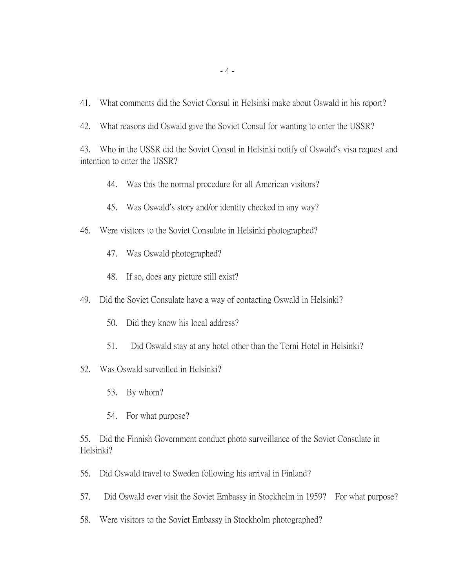- 41. What comments did the Soviet Consul in Helsinki make about Oswald in his report?
- 42. What reasons did Oswald give the Soviet Consul for wanting to enter the USSR?

43. Who in the USSR did the Soviet Consul in Helsinki notify of Oswald's visa request and intention to enter the USSR?

- 44. Was this the normal procedure for all American visitors?
- 45. Was Oswald's story and/or identity checked in any way?
- 46. Were visitors to the Soviet Consulate in Helsinki photographed?
	- 47. Was Oswald photographed?
	- 48. If so, does any picture still exist?
- 49. Did the Soviet Consulate have a way of contacting Oswald in Helsinki?
	- 50. Did they know his local address?
	- 51. Did Oswald stay at any hotel other than the Torni Hotel in Helsinki?
- 52. Was Oswald surveilled in Helsinki?
	- 53. By whom?
	- 54. For what purpose?

55. Did the Finnish Government conduct photo surveillance of the Soviet Consulate in Helsinki?

- 56. Did Oswald travel to Sweden following his arrival in Finland?
- 57. Did Oswald ever visit the Soviet Embassy in Stockholm in 1959? For what purpose?
- 58. Were visitors to the Soviet Embassy in Stockholm photographed?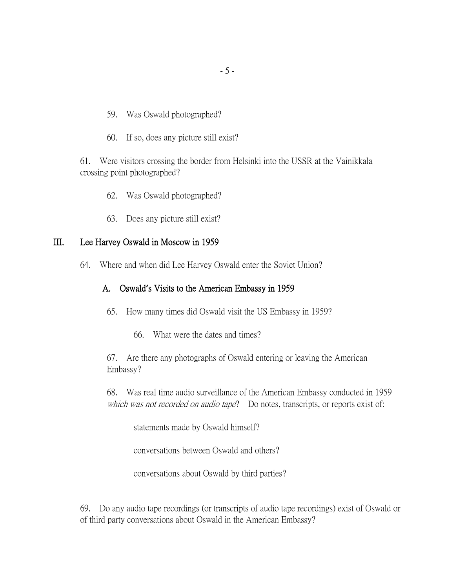- 59. Was Oswald photographed?
- 60. If so, does any picture still exist?

61. Were visitors crossing the border from Helsinki into the USSR at the Vainikkala crossing point photographed?

- 62. Was Oswald photographed?
- 63. Does any picture still exist?

### III. Lee Harvey Oswald in Moscow in 1959

64. Where and when did Lee Harvey Oswald enter the Soviet Union?

#### A. Oswald**'**s Visits to the American Embassy in 1959

- 65. How many times did Oswald visit the US Embassy in 1959?
	- 66. What were the dates and times?

67. Are there any photographs of Oswald entering or leaving the American Embassy?

68. Was real time audio surveillance of the American Embassy conducted in 1959 which was not recorded on audio tape? Do notes, transcripts, or reports exist of:

statements made by Oswald himself?

conversations between Oswald and others?

conversations about Oswald by third parties?

69. Do any audio tape recordings (or transcripts of audio tape recordings) exist of Oswald or of third party conversations about Oswald in the American Embassy?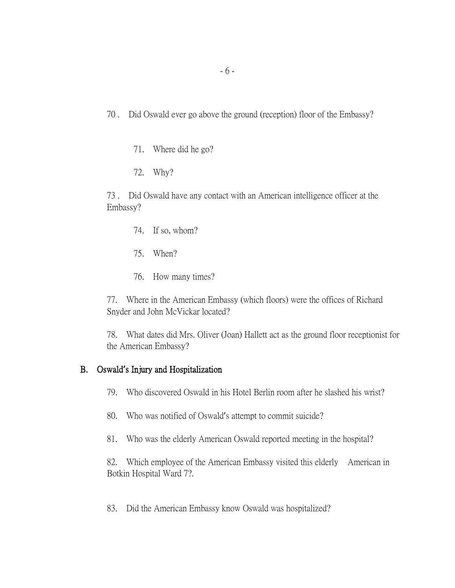70 . Did Oswald ever go above the ground (reception) floor of the Embassy?

71. Where did he go?

72. Why?

73 . Did Oswald have any contact with an American intelligence officer at the Embassy?

- 74. If so, whom?
- 75. When?
- 76. How many times?

77. Where in the American Embassy (which floors) were the offices of Richard Snyder and John McVickar located?

78. What dates did Mrs. Oliver (Joan) Hallett act as the ground floor receptionist for the American Embassy?

## B. Oswald**'**s Injury and Hospitalization

- 79. Who discovered Oswald in his Hotel Berlin room after he slashed his wrist?
- 80. Who was notified of Oswald's attempt to commit suicide?
- 81. Who was the elderly American Oswald reported meeting in the hospital?

82. Which employee of the American Embassy visited this elderly American in Botkin Hospital Ward 7?.

83. Did the American Embassy know Oswald was hospitalized?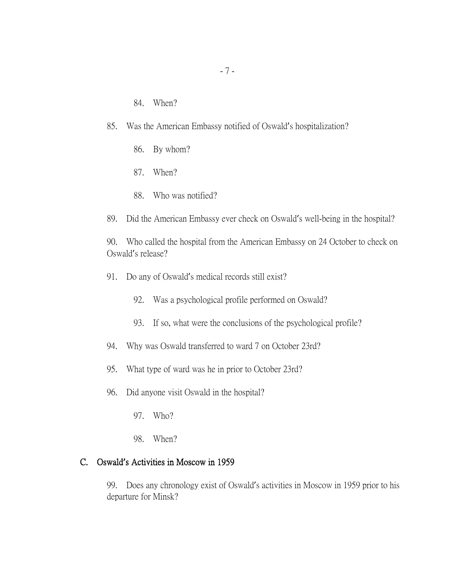- 84. When?
- 85. Was the American Embassy notified of Oswald's hospitalization?
	- 86. By whom?
	- 87. When?
	- 88. Who was notified?
- 89. Did the American Embassy ever check on Oswald's well-being in the hospital?

90. Who called the hospital from the American Embassy on 24 October to check on Oswald's release?

- 91. Do any of Oswald's medical records still exist?
	- 92. Was a psychological profile performed on Oswald?
	- 93. If so, what were the conclusions of the psychological profile?
- 94. Why was Oswald transferred to ward 7 on October 23rd?
- 95. What type of ward was he in prior to October 23rd?
- 96. Did anyone visit Oswald in the hospital?
	- 97. Who?
	- 98. When?

### C. Oswald**'**s Activities in Moscow in 1959

99. Does any chronology exist of Oswald's activities in Moscow in 1959 prior to his departure for Minsk?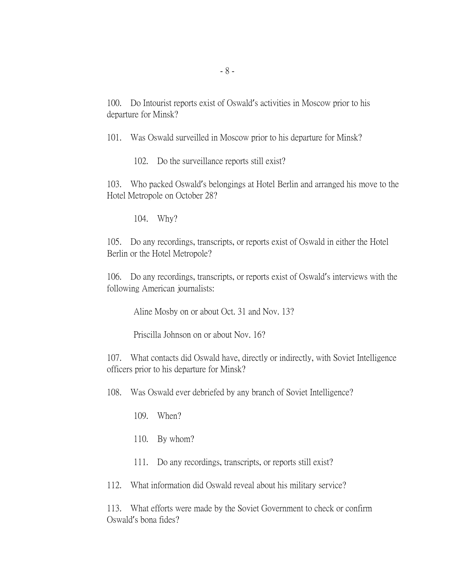100. Do Intourist reports exist of Oswald's activities in Moscow prior to his departure for Minsk?

101. Was Oswald surveilled in Moscow prior to his departure for Minsk?

102. Do the surveillance reports still exist?

103. Who packed Oswald's belongings at Hotel Berlin and arranged his move to the Hotel Metropole on October 28?

104. Why?

105. Do any recordings, transcripts, or reports exist of Oswald in either the Hotel Berlin or the Hotel Metropole?

106. Do any recordings, transcripts, or reports exist of Oswald's interviews with the following American journalists:

Aline Mosby on or about Oct. 31 and Nov. 13?

Priscilla Johnson on or about Nov. 16?

107. What contacts did Oswald have, directly or indirectly, with Soviet Intelligence officers prior to his departure for Minsk?

108. Was Oswald ever debriefed by any branch of Soviet Intelligence?

109. When?

110. By whom?

111. Do any recordings, transcripts, or reports still exist?

112. What information did Oswald reveal about his military service?

113. What efforts were made by the Soviet Government to check or confirm Oswald's bona fides?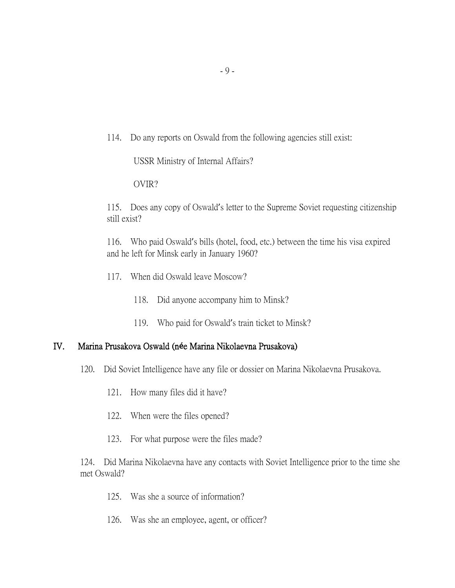114. Do any reports on Oswald from the following agencies still exist:

USSR Ministry of Internal Affairs?

OVIR?

115. Does any copy of Oswald's letter to the Supreme Soviet requesting citizenship still exist?

116. Who paid Oswald's bills (hotel, food, etc.) between the time his visa expired and he left for Minsk early in January 1960?

- 117. When did Oswald leave Moscow?
	- 118. Did anyone accompany him to Minsk?
	- 119. Who paid for Oswald's train ticket to Minsk?

## IV. Marina Prusakova Oswald (n**é**e Marina Nikolaevna Prusakova)

- 120. Did Soviet Intelligence have any file or dossier on Marina Nikolaevna Prusakova.
	- 121. How many files did it have?
	- 122. When were the files opened?
	- 123. For what purpose were the files made?

124. Did Marina Nikolaevna have any contacts with Soviet Intelligence prior to the time she met Oswald?

- 125. Was she a source of information?
- 126. Was she an employee, agent, or officer?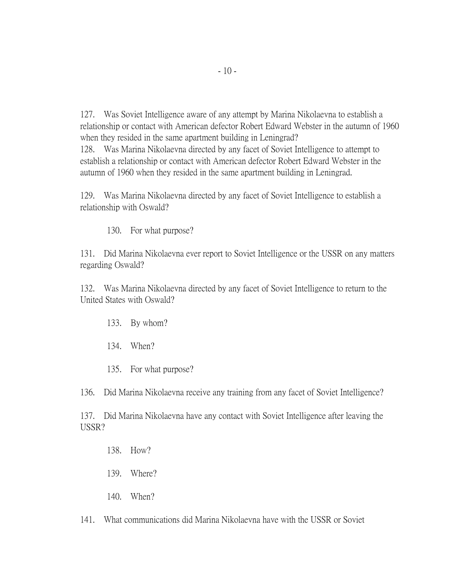127. Was Soviet Intelligence aware of any attempt by Marina Nikolaevna to establish a relationship or contact with American defector Robert Edward Webster in the autumn of 1960 when they resided in the same apartment building in Leningrad? 128. Was Marina Nikolaevna directed by any facet of Soviet Intelligence to attempt to establish a relationship or contact with American defector Robert Edward Webster in the

autumn of 1960 when they resided in the same apartment building in Leningrad.

129. Was Marina Nikolaevna directed by any facet of Soviet Intelligence to establish a relationship with Oswald?

130. For what purpose?

131. Did Marina Nikolaevna ever report to Soviet Intelligence or the USSR on any matters regarding Oswald?

132. Was Marina Nikolaevna directed by any facet of Soviet Intelligence to return to the United States with Oswald?

- 133. By whom?
- 134. When?
- 135. For what purpose?

136. Did Marina Nikolaevna receive any training from any facet of Soviet Intelligence?

137. Did Marina Nikolaevna have any contact with Soviet Intelligence after leaving the USSR?

- 138. How?
- 139. Where?
- 140. When?

141. What communications did Marina Nikolaevna have with the USSR or Soviet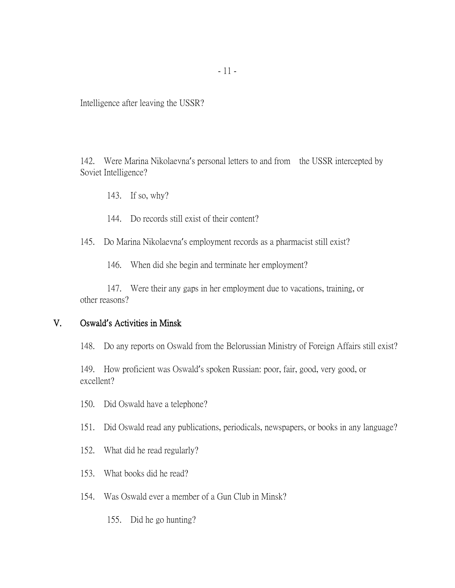Intelligence after leaving the USSR?

142. Were Marina Nikolaevna's personal letters to and from the USSR intercepted by Soviet Intelligence?

- 143. If so, why?
- 144. Do records still exist of their content?
- 145. Do Marina Nikolaevna's employment records as a pharmacist still exist?

146. When did she begin and terminate her employment?

147. Were their any gaps in her employment due to vacations, training, or other reasons?

### V. Oswald**'**s Activities in Minsk

148. Do any reports on Oswald from the Belorussian Ministry of Foreign Affairs still exist?

149. How proficient was Oswald's spoken Russian: poor, fair, good, very good, or excellent?

- 150. Did Oswald have a telephone?
- 151. Did Oswald read any publications, periodicals, newspapers, or books in any language?
- 152. What did he read regularly?
- 153. What books did he read?
- 154. Was Oswald ever a member of a Gun Club in Minsk?
	- 155. Did he go hunting?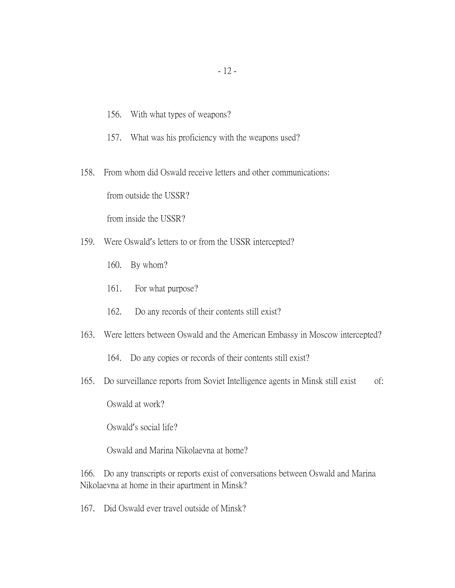- 156. With what types of weapons?
- 157. What was his proficiency with the weapons used?

158. From whom did Oswald receive letters and other communications: from outside the USSR?

from inside the USSR?

- 159. Were Oswald's letters to or from the USSR intercepted?
	- 160. By whom?
	- 161. For what purpose?
	- 162. Do any records of their contents still exist?
- 163. Were letters between Oswald and the American Embassy in Moscow intercepted?
	- 164. Do any copies or records of their contents still exist?
- 165. Do surveillance reports from Soviet Intelligence agents in Minsk still exist of:

Oswald at work?

Oswald's social life?

Oswald and Marina Nikolaevna at home?

166. Do any transcripts or reports exist of conversations between Oswald and Marina Nikolaevna at home in their apartment in Minsk?

167. Did Oswald ever travel outside of Minsk?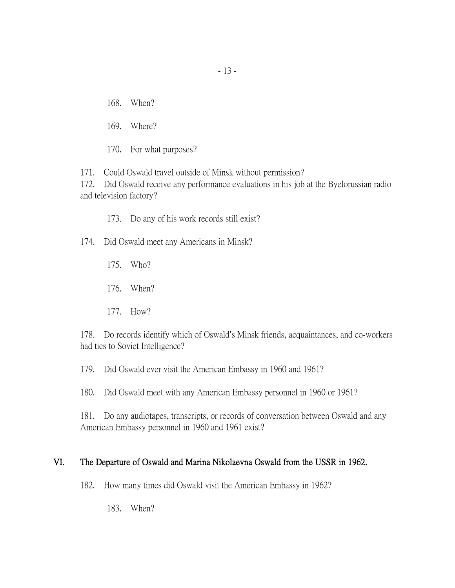168. When?

169. Where?

170. For what purposes?

171. Could Oswald travel outside of Minsk without permission?

172. Did Oswald receive any performance evaluations in his job at the Byelorussian radio and television factory?

173. Do any of his work records still exist?

174. Did Oswald meet any Americans in Minsk?

- 175. Who?
- 176. When?
- 177. How?

178. Do records identify which of Oswald's Minsk friends, acquaintances, and co-workers had ties to Soviet Intelligence?

179. Did Oswald ever visit the American Embassy in 1960 and 1961?

180. Did Oswald meet with any American Embassy personnel in 1960 or 1961?

181. Do any audiotapes, transcripts, or records of conversation between Oswald and any American Embassy personnel in 1960 and 1961 exist?

# VI. The Departure of Oswald and Marina Nikolaevna Oswald from the USSR in 1962.

182. How many times did Oswald visit the American Embassy in 1962?

183. When?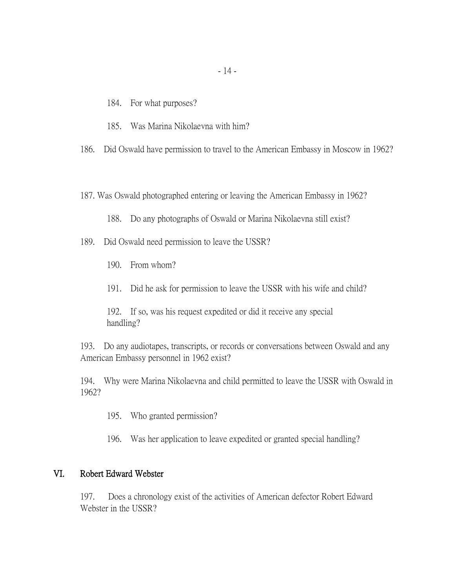- 184. For what purposes?
- 185. Was Marina Nikolaevna with him?

186. Did Oswald have permission to travel to the American Embassy in Moscow in 1962?

187. Was Oswald photographed entering or leaving the American Embassy in 1962?

188. Do any photographs of Oswald or Marina Nikolaevna still exist?

- 189. Did Oswald need permission to leave the USSR?
	- 190. From whom?
	- 191. Did he ask for permission to leave the USSR with his wife and child?

192. If so, was his request expedited or did it receive any special handling?

193. Do any audiotapes, transcripts, or records or conversations between Oswald and any American Embassy personnel in 1962 exist?

194. Why were Marina Nikolaevna and child permitted to leave the USSR with Oswald in 1962?

- 195. Who granted permission?
- 196. Was her application to leave expedited or granted special handling?

### VI. Robert Edward Webster

197. Does a chronology exist of the activities of American defector Robert Edward Webster in the USSR?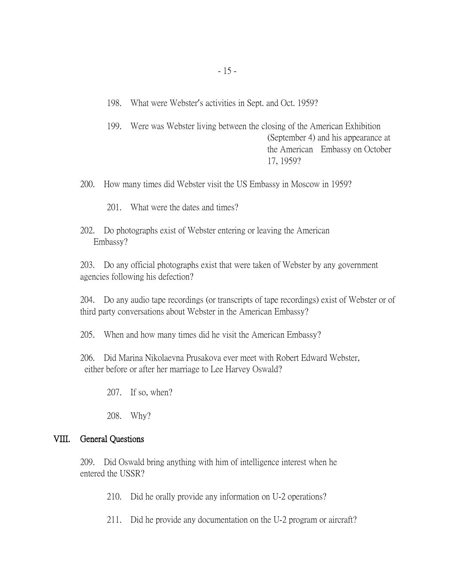198. What were Webster's activities in Sept. and Oct. 1959?

199. Were was Webster living between the closing of the American Exhibition (September 4) and his appearance at the American Embassy on October 17, 1959?

200. How many times did Webster visit the US Embassy in Moscow in 1959?

201. What were the dates and times?

202. Do photographs exist of Webster entering or leaving the American Embassy?

203. Do any official photographs exist that were taken of Webster by any government agencies following his defection?

204. Do any audio tape recordings (or transcripts of tape recordings) exist of Webster or of third party conversations about Webster in the American Embassy?

205. When and how many times did he visit the American Embassy?

206. Did Marina Nikolaevna Prusakova ever meet with Robert Edward Webster, either before or after her marriage to Lee Harvey Oswald?

207. If so, when?

208. Why?

## VIII. General Questions

209. Did Oswald bring anything with him of intelligence interest when he entered the USSR?

210. Did he orally provide any information on U-2 operations?

211. Did he provide any documentation on the U-2 program or aircraft?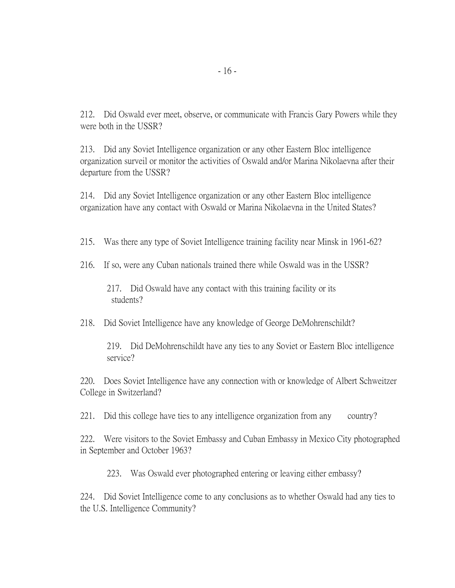212. Did Oswald ever meet, observe, or communicate with Francis Gary Powers while they were both in the USSR?

213. Did any Soviet Intelligence organization or any other Eastern Bloc intelligence organization surveil or monitor the activities of Oswald and/or Marina Nikolaevna after their departure from the USSR?

214. Did any Soviet Intelligence organization or any other Eastern Bloc intelligence organization have any contact with Oswald or Marina Nikolaevna in the United States?

215. Was there any type of Soviet Intelligence training facility near Minsk in 1961-62?

216. If so, were any Cuban nationals trained there while Oswald was in the USSR?

217. Did Oswald have any contact with this training facility or its students?

218. Did Soviet Intelligence have any knowledge of George DeMohrenschildt?

219. Did DeMohrenschildt have any ties to any Soviet or Eastern Bloc intelligence service?

220. Does Soviet Intelligence have any connection with or knowledge of Albert Schweitzer College in Switzerland?

221. Did this college have ties to any intelligence organization from any country?

222. Were visitors to the Soviet Embassy and Cuban Embassy in Mexico City photographed in September and October 1963?

223. Was Oswald ever photographed entering or leaving either embassy?

224. Did Soviet Intelligence come to any conclusions as to whether Oswald had any ties to the U.S. Intelligence Community?